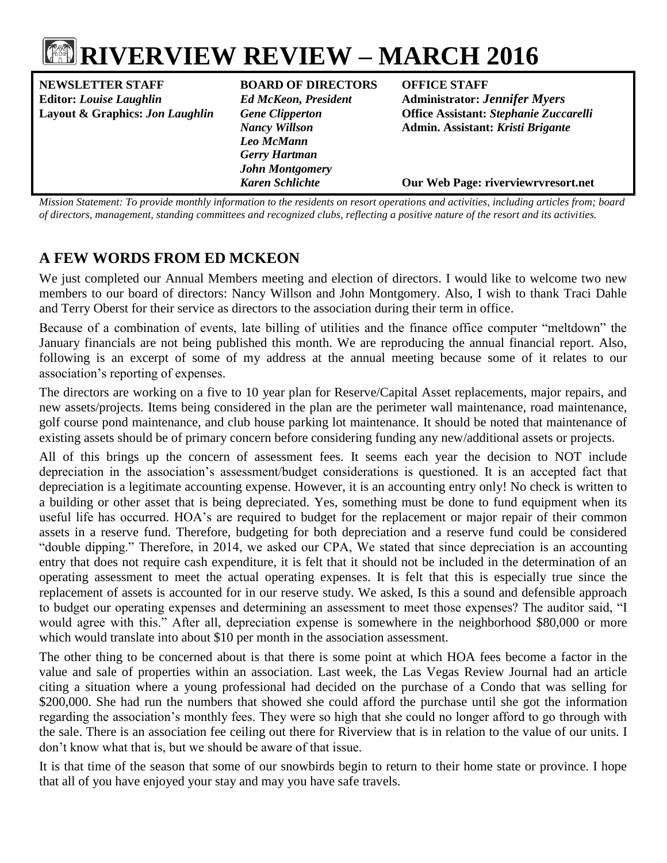# **RIVERVIEW REVIEW – MARCH 2016**

**NEWSLETTER STAFF BOARD OF DIRECTORS OFFICE STAFF Editor:** *Louise Laughlin Ed McKeon, President* **Administrator:** *Jennifer Myers*

*Leo McMann Gerry Hartman John Montgomery*

**Layout & Graphics:** *Jon Laughlin Gene Clipperton* **Office Assistant:** *Stephanie Zuccarelli Nancy Willson* **Admin. Assistant:** *Kristi Brigante*

*Karen Schlichte* **Our Web Page: riverviewrvresort.net**

*Mission Statement: To provide monthly information to the residents on resort operations and activities, including articles from; board of directors, management, standing committees and recognized clubs, reflecting a positive nature of the resort and its activities.*

# **A FEW WORDS FROM ED MCKEON**

We just completed our Annual Members meeting and election of directors. I would like to welcome two new members to our board of directors: Nancy Willson and John Montgomery. Also, I wish to thank Traci Dahle and Terry Oberst for their service as directors to the association during their term in office.

Because of a combination of events, late billing of utilities and the finance office computer "meltdown" the January financials are not being published this month. We are reproducing the annual financial report. Also, following is an excerpt of some of my address at the annual meeting because some of it relates to our association's reporting of expenses.

The directors are working on a five to 10 year plan for Reserve/Capital Asset replacements, major repairs, and new assets/projects. Items being considered in the plan are the perimeter wall maintenance, road maintenance, golf course pond maintenance, and club house parking lot maintenance. It should be noted that maintenance of existing assets should be of primary concern before considering funding any new/additional assets or projects.

All of this brings up the concern of assessment fees. It seems each year the decision to NOT include depreciation in the association's assessment/budget considerations is questioned. It is an accepted fact that depreciation is a legitimate accounting expense. However, it is an accounting entry only! No check is written to a building or other asset that is being depreciated. Yes, something must be done to fund equipment when its useful life has occurred. HOA's are required to budget for the replacement or major repair of their common assets in a reserve fund. Therefore, budgeting for both depreciation and a reserve fund could be considered "double dipping." Therefore, in 2014, we asked our CPA, We stated that since depreciation is an accounting entry that does not require cash expenditure, it is felt that it should not be included in the determination of an operating assessment to meet the actual operating expenses. It is felt that this is especially true since the replacement of assets is accounted for in our reserve study. We asked, Is this a sound and defensible approach to budget our operating expenses and determining an assessment to meet those expenses? The auditor said, "I would agree with this." After all, depreciation expense is somewhere in the neighborhood \$80,000 or more which would translate into about \$10 per month in the association assessment.

The other thing to be concerned about is that there is some point at which HOA fees become a factor in the value and sale of properties within an association. Last week, the Las Vegas Review Journal had an article citing a situation where a young professional had decided on the purchase of a Condo that was selling for \$200,000. She had run the numbers that showed she could afford the purchase until she got the information regarding the association's monthly fees. They were so high that she could no longer afford to go through with the sale. There is an association fee ceiling out there for Riverview that is in relation to the value of our units. I don't know what that is, but we should be aware of that issue.

It is that time of the season that some of our snowbirds begin to return to their home state or province. I hope that all of you have enjoyed your stay and may you have safe travels.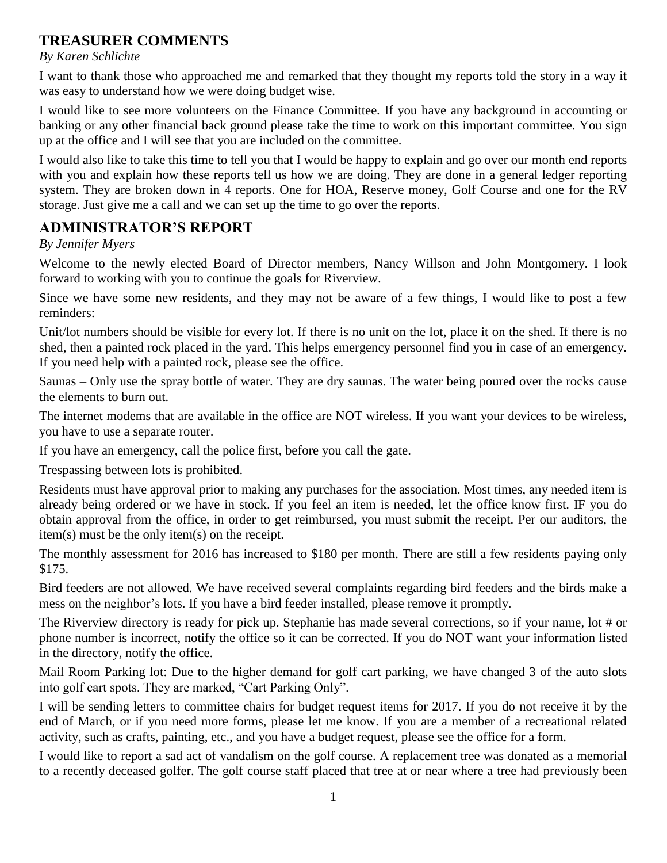# **TREASURER COMMENTS**

## *By Karen Schlichte*

I want to thank those who approached me and remarked that they thought my reports told the story in a way it was easy to understand how we were doing budget wise.

I would like to see more volunteers on the Finance Committee. If you have any background in accounting or banking or any other financial back ground please take the time to work on this important committee. You sign up at the office and I will see that you are included on the committee.

I would also like to take this time to tell you that I would be happy to explain and go over our month end reports with you and explain how these reports tell us how we are doing. They are done in a general ledger reporting system. They are broken down in 4 reports. One for HOA, Reserve money, Golf Course and one for the RV storage. Just give me a call and we can set up the time to go over the reports.

# **ADMINISTRATOR'S REPORT**

*By Jennifer Myers*

Welcome to the newly elected Board of Director members, Nancy Willson and John Montgomery. I look forward to working with you to continue the goals for Riverview.

Since we have some new residents, and they may not be aware of a few things, I would like to post a few reminders:

Unit/lot numbers should be visible for every lot. If there is no unit on the lot, place it on the shed. If there is no shed, then a painted rock placed in the yard. This helps emergency personnel find you in case of an emergency. If you need help with a painted rock, please see the office.

Saunas – Only use the spray bottle of water. They are dry saunas. The water being poured over the rocks cause the elements to burn out.

The internet modems that are available in the office are NOT wireless. If you want your devices to be wireless, you have to use a separate router.

If you have an emergency, call the police first, before you call the gate.

Trespassing between lots is prohibited.

Residents must have approval prior to making any purchases for the association. Most times, any needed item is already being ordered or we have in stock. If you feel an item is needed, let the office know first. IF you do obtain approval from the office, in order to get reimbursed, you must submit the receipt. Per our auditors, the item(s) must be the only item(s) on the receipt.

The monthly assessment for 2016 has increased to \$180 per month. There are still a few residents paying only \$175.

Bird feeders are not allowed. We have received several complaints regarding bird feeders and the birds make a mess on the neighbor's lots. If you have a bird feeder installed, please remove it promptly.

The Riverview directory is ready for pick up. Stephanie has made several corrections, so if your name, lot # or phone number is incorrect, notify the office so it can be corrected. If you do NOT want your information listed in the directory, notify the office.

Mail Room Parking lot: Due to the higher demand for golf cart parking, we have changed 3 of the auto slots into golf cart spots. They are marked, "Cart Parking Only".

I will be sending letters to committee chairs for budget request items for 2017. If you do not receive it by the end of March, or if you need more forms, please let me know. If you are a member of a recreational related activity, such as crafts, painting, etc., and you have a budget request, please see the office for a form.

I would like to report a sad act of vandalism on the golf course. A replacement tree was donated as a memorial to a recently deceased golfer. The golf course staff placed that tree at or near where a tree had previously been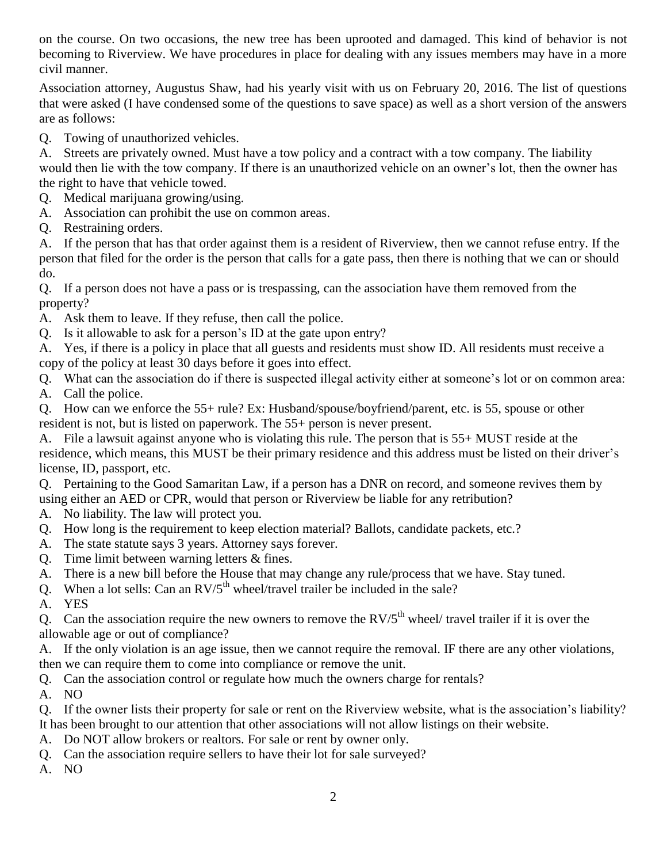on the course. On two occasions, the new tree has been uprooted and damaged. This kind of behavior is not becoming to Riverview. We have procedures in place for dealing with any issues members may have in a more civil manner.

Association attorney, Augustus Shaw, had his yearly visit with us on February 20, 2016. The list of questions that were asked (I have condensed some of the questions to save space) as well as a short version of the answers are as follows:

Q. Towing of unauthorized vehicles.

A. Streets are privately owned. Must have a tow policy and a contract with a tow company. The liability would then lie with the tow company. If there is an unauthorized vehicle on an owner's lot, then the owner has the right to have that vehicle towed.

- Q. Medical marijuana growing/using.
- A. Association can prohibit the use on common areas.
- Q. Restraining orders.

A. If the person that has that order against them is a resident of Riverview, then we cannot refuse entry. If the person that filed for the order is the person that calls for a gate pass, then there is nothing that we can or should do.

Q. If a person does not have a pass or is trespassing, can the association have them removed from the property?

A. Ask them to leave. If they refuse, then call the police.

Q. Is it allowable to ask for a person's ID at the gate upon entry?

A. Yes, if there is a policy in place that all guests and residents must show ID. All residents must receive a copy of the policy at least 30 days before it goes into effect.

Q. What can the association do if there is suspected illegal activity either at someone's lot or on common area: A. Call the police.

Q. How can we enforce the 55+ rule? Ex: Husband/spouse/boyfriend/parent, etc. is 55, spouse or other resident is not, but is listed on paperwork. The 55+ person is never present.

A. File a lawsuit against anyone who is violating this rule. The person that is 55+ MUST reside at the residence, which means, this MUST be their primary residence and this address must be listed on their driver's license, ID, passport, etc.

Q. Pertaining to the Good Samaritan Law, if a person has a DNR on record, and someone revives them by using either an AED or CPR, would that person or Riverview be liable for any retribution?

A. No liability. The law will protect you.

- Q. How long is the requirement to keep election material? Ballots, candidate packets, etc.?
- A. The state statute says 3 years. Attorney says forever.
- Q. Time limit between warning letters & fines.
- A. There is a new bill before the House that may change any rule/process that we have. Stay tuned.
- Q. When a lot sells: Can an  $RV/5<sup>th</sup>$  wheel/travel trailer be included in the sale?

A. YES

Q. Can the association require the new owners to remove the  $RV/5<sup>th</sup>$  wheel/ travel trailer if it is over the allowable age or out of compliance?

A. If the only violation is an age issue, then we cannot require the removal. IF there are any other violations, then we can require them to come into compliance or remove the unit.

Q. Can the association control or regulate how much the owners charge for rentals?

A. NO

Q. If the owner lists their property for sale or rent on the Riverview website, what is the association's liability? It has been brought to our attention that other associations will not allow listings on their website.

- A. Do NOT allow brokers or realtors. For sale or rent by owner only.
- Q. Can the association require sellers to have their lot for sale surveyed?

A. NO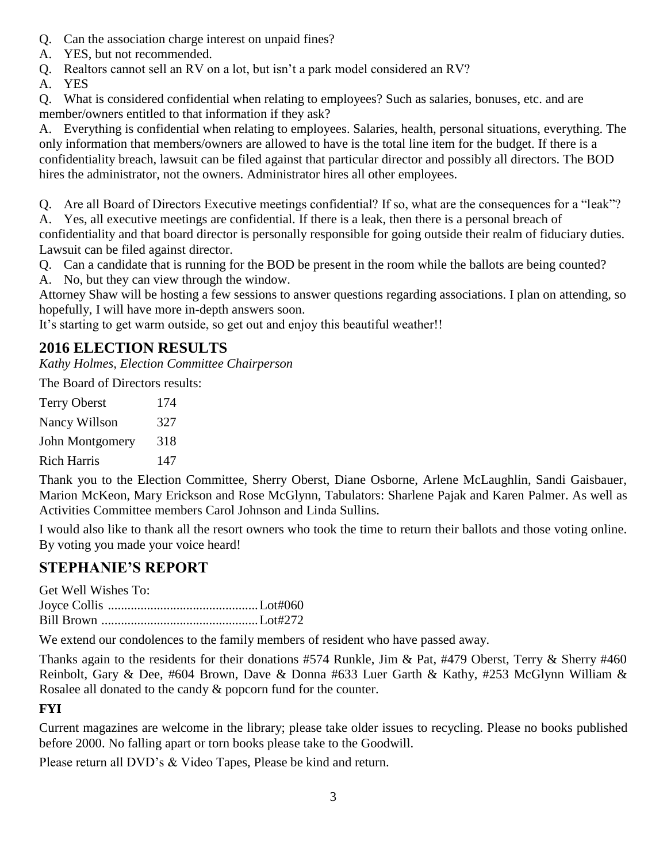- Q. Can the association charge interest on unpaid fines?
- A. YES, but not recommended.
- Q. Realtors cannot sell an RV on a lot, but isn't a park model considered an RV?
- A. YES

Q. What is considered confidential when relating to employees? Such as salaries, bonuses, etc. and are member/owners entitled to that information if they ask?

A. Everything is confidential when relating to employees. Salaries, health, personal situations, everything. The only information that members/owners are allowed to have is the total line item for the budget. If there is a confidentiality breach, lawsuit can be filed against that particular director and possibly all directors. The BOD hires the administrator, not the owners. Administrator hires all other employees.

Q. Are all Board of Directors Executive meetings confidential? If so, what are the consequences for a "leak"?

A. Yes, all executive meetings are confidential. If there is a leak, then there is a personal breach of confidentiality and that board director is personally responsible for going outside their realm of fiduciary duties. Lawsuit can be filed against director.

- Q. Can a candidate that is running for the BOD be present in the room while the ballots are being counted?
- A. No, but they can view through the window.

Attorney Shaw will be hosting a few sessions to answer questions regarding associations. I plan on attending, so hopefully, I will have more in-depth answers soon.

It's starting to get warm outside, so get out and enjoy this beautiful weather!!

# **2016 ELECTION RESULTS**

*Kathy Holmes, Election Committee Chairperson*

The Board of Directors results:

| <b>Terry Oberst</b> | 174 |
|---------------------|-----|
| Nancy Willson       | 327 |
| John Montgomery     | 318 |
| Rich Harris         | 147 |

Thank you to the Election Committee, Sherry Oberst, Diane Osborne, Arlene McLaughlin, Sandi Gaisbauer, Marion McKeon, Mary Erickson and Rose McGlynn, Tabulators: Sharlene Pajak and Karen Palmer. As well as Activities Committee members Carol Johnson and Linda Sullins.

I would also like to thank all the resort owners who took the time to return their ballots and those voting online. By voting you made your voice heard!

# **STEPHANIE'S REPORT**

Get Well Wishes To: Joyce Collis ..............................................Lot#060 Bill Brown ................................................Lot#272

We extend our condolences to the family members of resident who have passed away.

Thanks again to the residents for their donations #574 Runkle, Jim & Pat, #479 Oberst, Terry & Sherry #460 Reinbolt, Gary & Dee, #604 Brown, Dave & Donna #633 Luer Garth & Kathy, #253 McGlynn William & Rosalee all donated to the candy & popcorn fund for the counter.

# **FYI**

Current magazines are welcome in the library; please take older issues to recycling. Please no books published before 2000. No falling apart or torn books please take to the Goodwill.

Please return all DVD's & Video Tapes, Please be kind and return.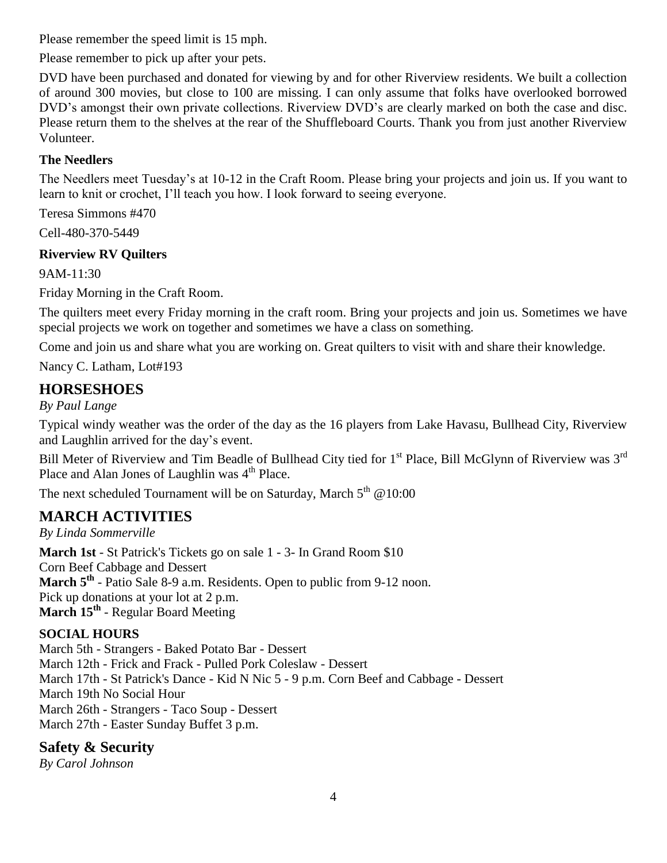Please remember the speed limit is 15 mph.

Please remember to pick up after your pets.

DVD have been purchased and donated for viewing by and for other Riverview residents. We built a collection of around 300 movies, but close to 100 are missing. I can only assume that folks have overlooked borrowed DVD's amongst their own private collections. Riverview DVD's are clearly marked on both the case and disc. Please return them to the shelves at the rear of the Shuffleboard Courts. Thank you from just another Riverview Volunteer.

# **The Needlers**

The Needlers meet Tuesday's at 10-12 in the Craft Room. Please bring your projects and join us. If you want to learn to knit or crochet, I'll teach you how. I look forward to seeing everyone.

Teresa Simmons #470

Cell-480-370-5449

# **Riverview RV Quilters**

9AM-11:30

Friday Morning in the Craft Room.

The quilters meet every Friday morning in the craft room. Bring your projects and join us. Sometimes we have special projects we work on together and sometimes we have a class on something.

Come and join us and share what you are working on. Great quilters to visit with and share their knowledge.

Nancy C. Latham, Lot#193

# **HORSESHOES**

*By Paul Lange*

Typical windy weather was the order of the day as the 16 players from Lake Havasu, Bullhead City, Riverview and Laughlin arrived for the day's event.

Bill Meter of Riverview and Tim Beadle of Bullhead City tied for 1<sup>st</sup> Place, Bill McGlynn of Riverview was 3<sup>rd</sup> Place and Alan Jones of Laughlin was 4<sup>th</sup> Place.

The next scheduled Tournament will be on Saturday, March  $5<sup>th</sup>$  @10:00

# **MARCH ACTIVITIES**

*By Linda Sommerville*

**March 1st** - St Patrick's Tickets go on sale 1 - 3- In Grand Room \$10 Corn Beef Cabbage and Dessert March 5<sup>th</sup> - Patio Sale 8-9 a.m. Residents. Open to public from 9-12 noon. Pick up donations at your lot at 2 p.m. **March 15th** - Regular Board Meeting

# **SOCIAL HOURS**

March 5th - Strangers - Baked Potato Bar - Dessert March 12th - Frick and Frack - Pulled Pork Coleslaw - Dessert March 17th - St Patrick's Dance - Kid N Nic 5 - 9 p.m. Corn Beef and Cabbage - Dessert March 19th No Social Hour March 26th - Strangers - Taco Soup - Dessert March 27th - Easter Sunday Buffet 3 p.m.

# **Safety & Security**

*By Carol Johnson*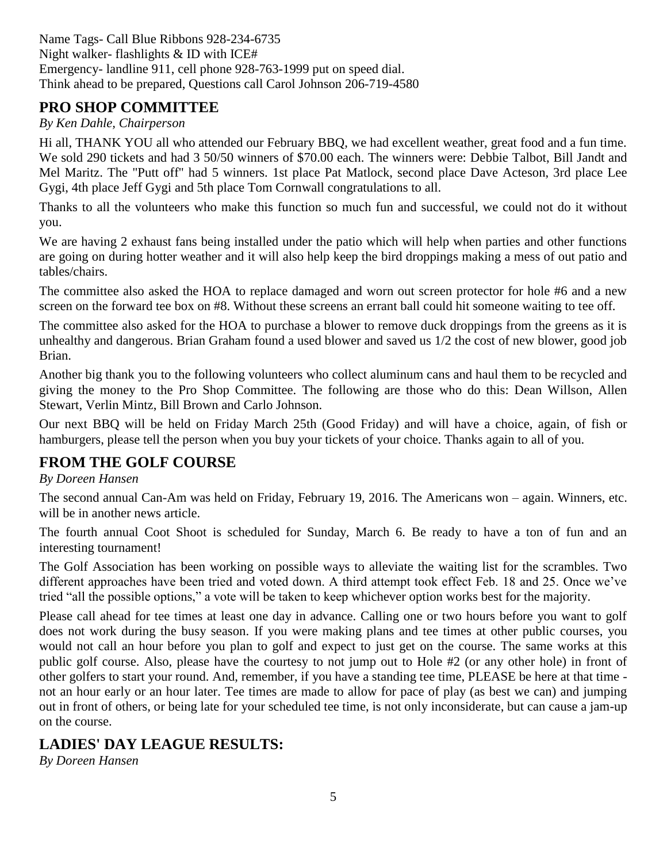Name Tags- Call Blue Ribbons 928-234-6735 Night walker- flashlights & ID with ICE# Emergency- landline 911, cell phone 928-763-1999 put on speed dial. Think ahead to be prepared, Questions call Carol Johnson 206-719-4580

# **PRO SHOP COMMITTEE**

# *By Ken Dahle, Chairperson*

Hi all, THANK YOU all who attended our February BBQ, we had excellent weather, great food and a fun time. We sold 290 tickets and had 3 50/50 winners of \$70.00 each. The winners were: Debbie Talbot, Bill Jandt and Mel Maritz. The "Putt off" had 5 winners. 1st place Pat Matlock, second place Dave Acteson, 3rd place Lee Gygi, 4th place Jeff Gygi and 5th place Tom Cornwall congratulations to all.

Thanks to all the volunteers who make this function so much fun and successful, we could not do it without you.

We are having 2 exhaust fans being installed under the patio which will help when parties and other functions are going on during hotter weather and it will also help keep the bird droppings making a mess of out patio and tables/chairs.

The committee also asked the HOA to replace damaged and worn out screen protector for hole #6 and a new screen on the forward tee box on #8. Without these screens an errant ball could hit someone waiting to tee off.

The committee also asked for the HOA to purchase a blower to remove duck droppings from the greens as it is unhealthy and dangerous. Brian Graham found a used blower and saved us 1/2 the cost of new blower, good job Brian.

Another big thank you to the following volunteers who collect aluminum cans and haul them to be recycled and giving the money to the Pro Shop Committee. The following are those who do this: Dean Willson, Allen Stewart, Verlin Mintz, Bill Brown and Carlo Johnson.

Our next BBQ will be held on Friday March 25th (Good Friday) and will have a choice, again, of fish or hamburgers, please tell the person when you buy your tickets of your choice. Thanks again to all of you.

# **FROM THE GOLF COURSE**

## *By Doreen Hansen*

The second annual Can-Am was held on Friday, February 19, 2016. The Americans won – again. Winners, etc. will be in another news article.

The fourth annual Coot Shoot is scheduled for Sunday, March 6. Be ready to have a ton of fun and an interesting tournament!

The Golf Association has been working on possible ways to alleviate the waiting list for the scrambles. Two different approaches have been tried and voted down. A third attempt took effect Feb. 18 and 25. Once we've tried "all the possible options," a vote will be taken to keep whichever option works best for the majority.

Please call ahead for tee times at least one day in advance. Calling one or two hours before you want to golf does not work during the busy season. If you were making plans and tee times at other public courses, you would not call an hour before you plan to golf and expect to just get on the course. The same works at this public golf course. Also, please have the courtesy to not jump out to Hole #2 (or any other hole) in front of other golfers to start your round. And, remember, if you have a standing tee time, PLEASE be here at that time not an hour early or an hour later. Tee times are made to allow for pace of play (as best we can) and jumping out in front of others, or being late for your scheduled tee time, is not only inconsiderate, but can cause a jam-up on the course.

# **LADIES' DAY LEAGUE RESULTS:**

*By Doreen Hansen*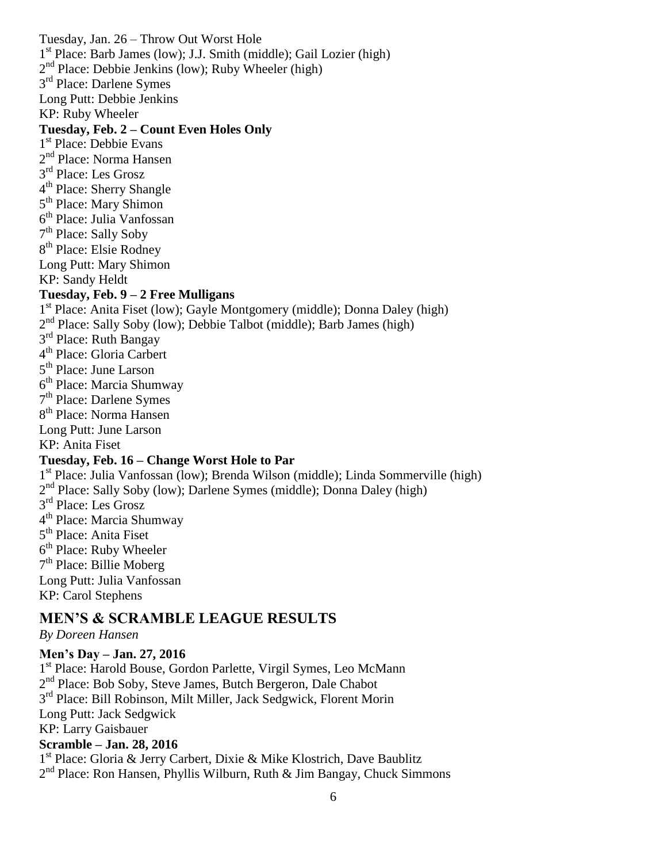Tuesday, Jan. 26 – Throw Out Worst Hole 1<sup>st</sup> Place: Barb James (low); J.J. Smith (middle); Gail Lozier (high) 2<sup>nd</sup> Place: Debbie Jenkins (low); Ruby Wheeler (high) 3<sup>rd</sup> Place: Darlene Symes Long Putt: Debbie Jenkins KP: Ruby Wheeler **Tuesday, Feb. 2 – Count Even Holes Only** 1<sup>st</sup> Place: Debbie Evans 2<sup>nd</sup> Place: Norma Hansen 3<sup>rd</sup> Place: Les Grosz 4<sup>th</sup> Place: Sherry Shangle 5<sup>th</sup> Place: Mary Shimon 6 th Place: Julia Vanfossan 7<sup>th</sup> Place: Sally Soby 8<sup>th</sup> Place: Elsie Rodney Long Putt: Mary Shimon KP: Sandy Heldt **Tuesday, Feb. 9 – 2 Free Mulligans** 1<sup>st</sup> Place: Anita Fiset (low); Gayle Montgomery (middle); Donna Daley (high) 2<sup>nd</sup> Place: Sally Soby (low); Debbie Talbot (middle); Barb James (high) 3<sup>rd</sup> Place: Ruth Bangay 4<sup>th</sup> Place: Gloria Carbert 5<sup>th</sup> Place: June Larson 6<sup>th</sup> Place: Marcia Shumway 7<sup>th</sup> Place: Darlene Symes 8<sup>th</sup> Place: Norma Hansen Long Putt: June Larson KP: Anita Fiset **Tuesday, Feb. 16 – Change Worst Hole to Par** 1<sup>st</sup> Place: Julia Vanfossan (low); Brenda Wilson (middle); Linda Sommerville (high) 2<sup>nd</sup> Place: Sally Soby (low); Darlene Symes (middle); Donna Daley (high) 3<sup>rd</sup> Place: Les Grosz 4<sup>th</sup> Place: Marcia Shumway 5<sup>th</sup> Place: Anita Fiset 6<sup>th</sup> Place: Ruby Wheeler 7<sup>th</sup> Place: Billie Moberg Long Putt: Julia Vanfossan KP: Carol Stephens

# **MEN'S & SCRAMBLE LEAGUE RESULTS**

## *By Doreen Hansen*

#### **Men's Day – Jan. 27, 2016**

1 st Place: Harold Bouse, Gordon Parlette, Virgil Symes, Leo McMann 2<sup>nd</sup> Place: Bob Soby, Steve James, Butch Bergeron, Dale Chabot 3<sup>rd</sup> Place: Bill Robinson, Milt Miller, Jack Sedgwick, Florent Morin Long Putt: Jack Sedgwick KP: Larry Gaisbauer

# **Scramble – Jan. 28, 2016**

1<sup>st</sup> Place: Gloria & Jerry Carbert, Dixie & Mike Klostrich, Dave Baublitz 2<sup>nd</sup> Place: Ron Hansen, Phyllis Wilburn, Ruth & Jim Bangay, Chuck Simmons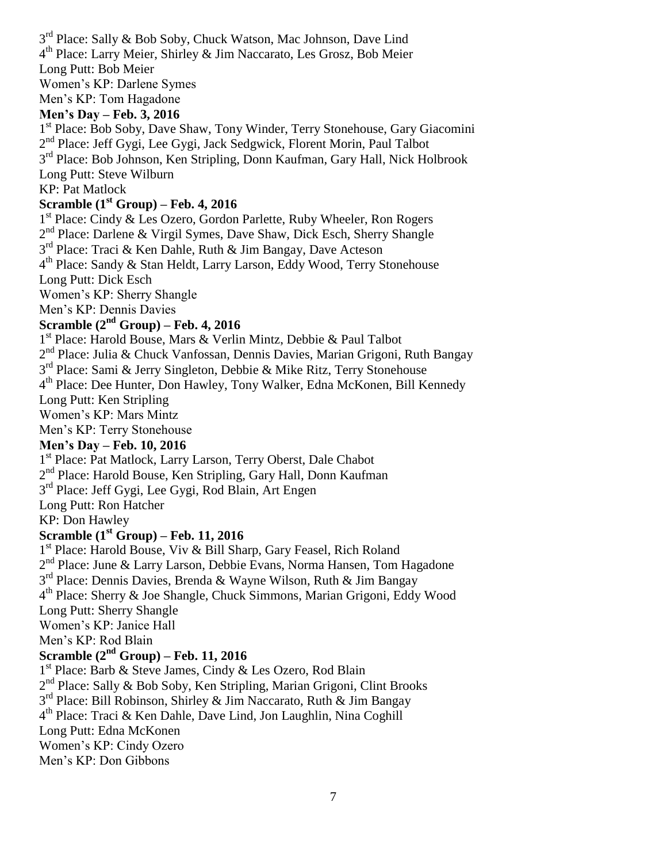3<sup>rd</sup> Place: Sally & Bob Soby, Chuck Watson, Mac Johnson, Dave Lind 4 th Place: Larry Meier, Shirley & Jim Naccarato, Les Grosz, Bob Meier Long Putt: Bob Meier Women's KP: Darlene Symes Men's KP: Tom Hagadone

#### **Men's Day – Feb. 3, 2016**

1<sup>st</sup> Place: Bob Soby, Dave Shaw, Tony Winder, Terry Stonehouse, Gary Giacomini 2<sup>nd</sup> Place: Jeff Gygi, Lee Gygi, Jack Sedgwick, Florent Morin, Paul Talbot 3<sup>rd</sup> Place: Bob Johnson, Ken Stripling, Donn Kaufman, Gary Hall, Nick Holbrook Long Putt: Steve Wilburn

#### KP: Pat Matlock

# **Scramble (1st Group) – Feb. 4, 2016**

1<sup>st</sup> Place: Cindy & Les Ozero, Gordon Parlette, Ruby Wheeler, Ron Rogers

2<sup>nd</sup> Place: Darlene & Virgil Symes, Dave Shaw, Dick Esch, Sherry Shangle

3<sup>rd</sup> Place: Traci & Ken Dahle, Ruth & Jim Bangay, Dave Acteson

4<sup>th</sup> Place: Sandy & Stan Heldt, Larry Larson, Eddy Wood, Terry Stonehouse Long Putt: Dick Esch

Women's KP: Sherry Shangle

Men's KP: Dennis Davies

# **Scramble (2nd Group) – Feb. 4, 2016**

1 st Place: Harold Bouse, Mars & Verlin Mintz, Debbie & Paul Talbot

2<sup>nd</sup> Place: Julia & Chuck Vanfossan, Dennis Davies, Marian Grigoni, Ruth Bangay

3<sup>rd</sup> Place: Sami & Jerry Singleton, Debbie & Mike Ritz, Terry Stonehouse

4 th Place: Dee Hunter, Don Hawley, Tony Walker, Edna McKonen, Bill Kennedy

Long Putt: Ken Stripling

Women's KP: Mars Mintz

Men's KP: Terry Stonehouse

## **Men's Day – Feb. 10, 2016**

1<sup>st</sup> Place: Pat Matlock, Larry Larson, Terry Oberst, Dale Chabot

2<sup>nd</sup> Place: Harold Bouse, Ken Stripling, Gary Hall, Donn Kaufman

3<sup>rd</sup> Place: Jeff Gygi, Lee Gygi, Rod Blain, Art Engen

Long Putt: Ron Hatcher

#### KP: Don Hawley

# **Scramble (1st Group) – Feb. 11, 2016**

1<sup>st</sup> Place: Harold Bouse, Viv & Bill Sharp, Gary Feasel, Rich Roland

2<sup>nd</sup> Place: June & Larry Larson, Debbie Evans, Norma Hansen, Tom Hagadone

3<sup>rd</sup> Place: Dennis Davies, Brenda & Wayne Wilson, Ruth & Jim Bangay

4 th Place: Sherry & Joe Shangle, Chuck Simmons, Marian Grigoni, Eddy Wood

Long Putt: Sherry Shangle

Women's KP: Janice Hall

Men's KP: Rod Blain

# **Scramble (2nd Group) – Feb. 11, 2016**

1<sup>st</sup> Place: Barb & Steve James, Cindy & Les Ozero, Rod Blain 2<sup>nd</sup> Place: Sally & Bob Soby, Ken Stripling, Marian Grigoni, Clint Brooks  $3<sup>rd</sup>$  Place: Bill Robinson, Shirley & Jim Naccarato, Ruth & Jim Bangay 4 th Place: Traci & Ken Dahle, Dave Lind, Jon Laughlin, Nina Coghill Long Putt: Edna McKonen Women's KP: Cindy Ozero Men's KP: Don Gibbons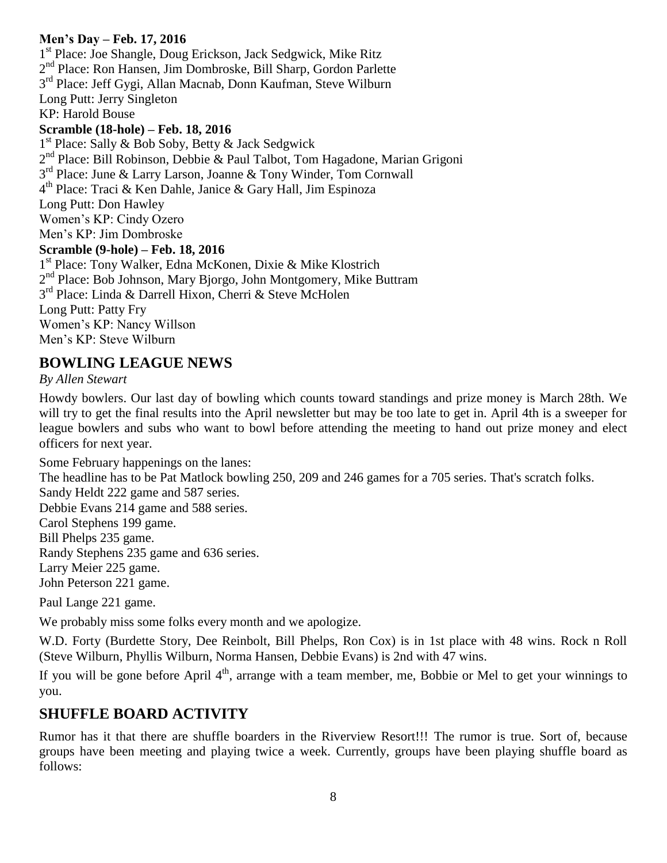# **Men's Day – Feb. 17, 2016**

1 st Place: Joe Shangle, Doug Erickson, Jack Sedgwick, Mike Ritz 2<sup>nd</sup> Place: Ron Hansen, Jim Dombroske, Bill Sharp, Gordon Parlette 3<sup>rd</sup> Place: Jeff Gygi, Allan Macnab, Donn Kaufman, Steve Wilburn Long Putt: Jerry Singleton KP: Harold Bouse **Scramble (18-hole) – Feb. 18, 2016** 1<sup>st</sup> Place: Sally & Bob Soby, Betty & Jack Sedgwick 2<sup>nd</sup> Place: Bill Robinson, Debbie & Paul Talbot, Tom Hagadone, Marian Grigoni 3<sup>rd</sup> Place: June & Larry Larson, Joanne & Tony Winder, Tom Cornwall 4 th Place: Traci & Ken Dahle, Janice & Gary Hall, Jim Espinoza Long Putt: Don Hawley Women's KP: Cindy Ozero Men's KP: Jim Dombroske **Scramble (9-hole) – Feb. 18, 2016** 1 st Place: Tony Walker, Edna McKonen, Dixie & Mike Klostrich 2<sup>nd</sup> Place: Bob Johnson, Mary Bjorgo, John Montgomery, Mike Buttram 3 rd Place: Linda & Darrell Hixon, Cherri & Steve McHolen Long Putt: Patty Fry Women's KP: Nancy Willson Men's KP: Steve Wilburn

# **BOWLING LEAGUE NEWS**

#### *By Allen Stewart*

Howdy bowlers. Our last day of bowling which counts toward standings and prize money is March 28th. We will try to get the final results into the April newsletter but may be too late to get in. April 4th is a sweeper for league bowlers and subs who want to bowl before attending the meeting to hand out prize money and elect officers for next year.

Some February happenings on the lanes:

The headline has to be Pat Matlock bowling 250, 209 and 246 games for a 705 series. That's scratch folks.

Sandy Heldt 222 game and 587 series.

Debbie Evans 214 game and 588 series.

Carol Stephens 199 game.

Bill Phelps 235 game.

Randy Stephens 235 game and 636 series.

Larry Meier 225 game.

John Peterson 221 game.

Paul Lange 221 game.

We probably miss some folks every month and we apologize.

W.D. Forty (Burdette Story, Dee Reinbolt, Bill Phelps, Ron Cox) is in 1st place with 48 wins. Rock n Roll (Steve Wilburn, Phyllis Wilburn, Norma Hansen, Debbie Evans) is 2nd with 47 wins.

If you will be gone before April 4<sup>th</sup>, arrange with a team member, me, Bobbie or Mel to get your winnings to you.

# **SHUFFLE BOARD ACTIVITY**

Rumor has it that there are shuffle boarders in the Riverview Resort!!! The rumor is true. Sort of, because groups have been meeting and playing twice a week. Currently, groups have been playing shuffle board as follows: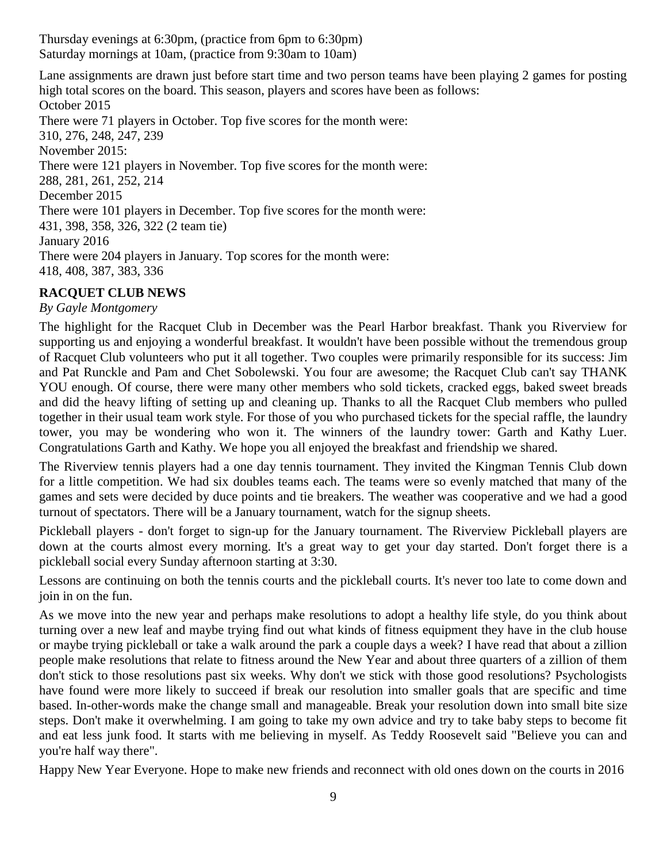Thursday evenings at 6:30pm, (practice from 6pm to 6:30pm) Saturday mornings at 10am, (practice from 9:30am to 10am)

Lane assignments are drawn just before start time and two person teams have been playing 2 games for posting high total scores on the board. This season, players and scores have been as follows: October 2015 There were 71 players in October. Top five scores for the month were: 310, 276, 248, 247, 239 November 2015: There were 121 players in November. Top five scores for the month were: 288, 281, 261, 252, 214 December 2015 There were 101 players in December. Top five scores for the month were: 431, 398, 358, 326, 322 (2 team tie) January 2016 There were 204 players in January. Top scores for the month were: 418, 408, 387, 383, 336

# **RACQUET CLUB NEWS**

# *By Gayle Montgomery*

The highlight for the Racquet Club in December was the Pearl Harbor breakfast. Thank you Riverview for supporting us and enjoying a wonderful breakfast. It wouldn't have been possible without the tremendous group of Racquet Club volunteers who put it all together. Two couples were primarily responsible for its success: Jim and Pat Runckle and Pam and Chet Sobolewski. You four are awesome; the Racquet Club can't say THANK YOU enough. Of course, there were many other members who sold tickets, cracked eggs, baked sweet breads and did the heavy lifting of setting up and cleaning up. Thanks to all the Racquet Club members who pulled together in their usual team work style. For those of you who purchased tickets for the special raffle, the laundry tower, you may be wondering who won it. The winners of the laundry tower: Garth and Kathy Luer. Congratulations Garth and Kathy. We hope you all enjoyed the breakfast and friendship we shared.

The Riverview tennis players had a one day tennis tournament. They invited the Kingman Tennis Club down for a little competition. We had six doubles teams each. The teams were so evenly matched that many of the games and sets were decided by duce points and tie breakers. The weather was cooperative and we had a good turnout of spectators. There will be a January tournament, watch for the signup sheets.

Pickleball players - don't forget to sign-up for the January tournament. The Riverview Pickleball players are down at the courts almost every morning. It's a great way to get your day started. Don't forget there is a pickleball social every Sunday afternoon starting at 3:30.

Lessons are continuing on both the tennis courts and the pickleball courts. It's never too late to come down and join in on the fun.

As we move into the new year and perhaps make resolutions to adopt a healthy life style, do you think about turning over a new leaf and maybe trying find out what kinds of fitness equipment they have in the club house or maybe trying pickleball or take a walk around the park a couple days a week? I have read that about a zillion people make resolutions that relate to fitness around the New Year and about three quarters of a zillion of them don't stick to those resolutions past six weeks. Why don't we stick with those good resolutions? Psychologists have found were more likely to succeed if break our resolution into smaller goals that are specific and time based. In-other-words make the change small and manageable. Break your resolution down into small bite size steps. Don't make it overwhelming. I am going to take my own advice and try to take baby steps to become fit and eat less junk food. It starts with me believing in myself. As Teddy Roosevelt said "Believe you can and you're half way there".

Happy New Year Everyone. Hope to make new friends and reconnect with old ones down on the courts in 2016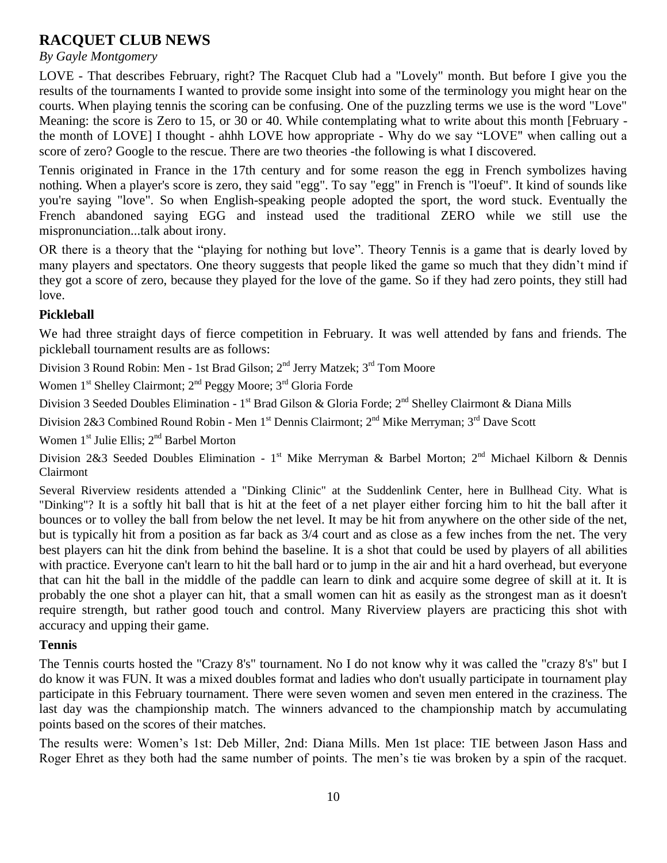# **RACQUET CLUB NEWS**

#### *By Gayle Montgomery*

LOVE - That describes February, right? The Racquet Club had a "Lovely" month. But before I give you the results of the tournaments I wanted to provide some insight into some of the terminology you might hear on the courts. When playing tennis the scoring can be confusing. One of the puzzling terms we use is the word "Love" Meaning: the score is Zero to 15, or 30 or 40. While contemplating what to write about this month [February the month of LOVE] I thought - ahhh LOVE how appropriate - Why do we say "LOVE" when calling out a score of zero? Google to the rescue. There are two theories -the following is what I discovered.

Tennis originated in France in the 17th century and for some reason the egg in French symbolizes having nothing. When a player's score is zero, they said "egg". To say "egg" in French is "l'oeuf". It kind of sounds like you're saying "love". So when English-speaking people adopted the sport, the word stuck. Eventually the French abandoned saying EGG and instead used the traditional ZERO while we still use the mispronunciation...talk about irony.

OR there is a theory that the "playing for nothing but love". Theory Tennis is a game that is dearly loved by many players and spectators. One theory suggests that people liked the game so much that they didn't mind if they got a score of zero, because they played for the love of the game. So if they had zero points, they still had love.

#### **Pickleball**

We had three straight days of fierce competition in February. It was well attended by fans and friends. The pickleball tournament results are as follows:

Division 3 Round Robin: Men - 1st Brad Gilson; 2<sup>nd</sup> Jerry Matzek; 3<sup>rd</sup> Tom Moore

Women 1<sup>st</sup> Shelley Clairmont; 2<sup>nd</sup> Peggy Moore; 3<sup>rd</sup> Gloria Forde

Division 3 Seeded Doubles Elimination - 1<sup>st</sup> Brad Gilson & Gloria Forde; 2<sup>nd</sup> Shelley Clairmont & Diana Mills

Division 2&3 Combined Round Robin - Men 1<sup>st</sup> Dennis Clairmont; 2<sup>nd</sup> Mike Merryman; 3<sup>rd</sup> Dave Scott

Women  $1<sup>st</sup>$  Julie Ellis:  $2<sup>nd</sup>$  Barbel Morton

Division 2&3 Seeded Doubles Elimination - 1<sup>st</sup> Mike Merryman & Barbel Morton; 2<sup>nd</sup> Michael Kilborn & Dennis Clairmont

Several Riverview residents attended a "Dinking Clinic" at the Suddenlink Center, here in Bullhead City. What is "Dinking"? It is a softly hit ball that is hit at the feet of a net player either forcing him to hit the ball after it bounces or to volley the ball from below the net level. It may be hit from anywhere on the other side of the net, but is typically hit from a position as far back as 3/4 court and as close as a few inches from the net. The very best players can hit the dink from behind the baseline. It is a shot that could be used by players of all abilities with practice. Everyone can't learn to hit the ball hard or to jump in the air and hit a hard overhead, but everyone that can hit the ball in the middle of the paddle can learn to dink and acquire some degree of skill at it. It is probably the one shot a player can hit, that a small women can hit as easily as the strongest man as it doesn't require strength, but rather good touch and control. Many Riverview players are practicing this shot with accuracy and upping their game.

#### **Tennis**

The Tennis courts hosted the "Crazy 8's" tournament. No I do not know why it was called the "crazy 8's" but I do know it was FUN. It was a mixed doubles format and ladies who don't usually participate in tournament play participate in this February tournament. There were seven women and seven men entered in the craziness. The last day was the championship match. The winners advanced to the championship match by accumulating points based on the scores of their matches.

The results were: Women's 1st: Deb Miller, 2nd: Diana Mills. Men 1st place: TIE between Jason Hass and Roger Ehret as they both had the same number of points. The men's tie was broken by a spin of the racquet.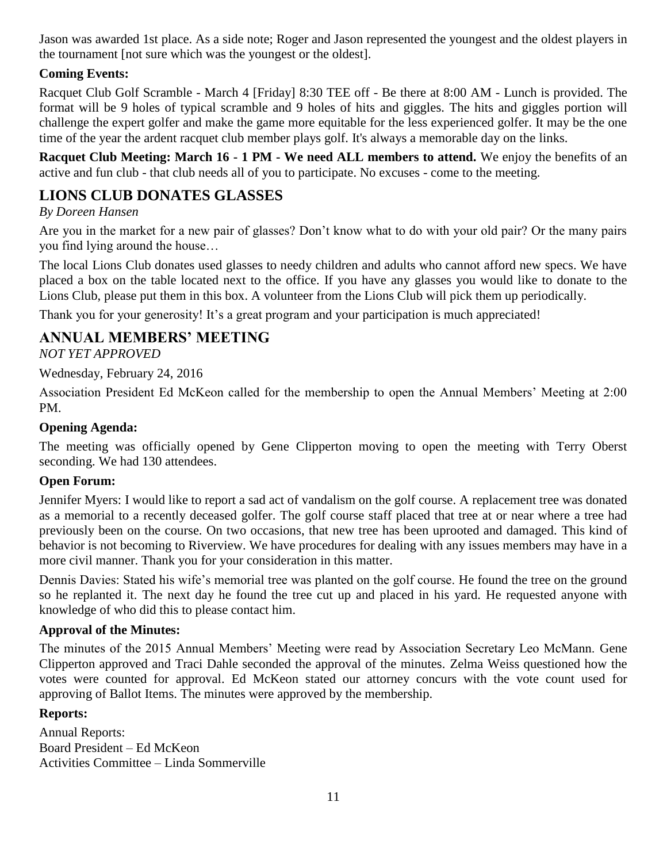Jason was awarded 1st place. As a side note; Roger and Jason represented the youngest and the oldest players in the tournament [not sure which was the youngest or the oldest].

# **Coming Events:**

Racquet Club Golf Scramble - March 4 [Friday] 8:30 TEE off - Be there at 8:00 AM - Lunch is provided. The format will be 9 holes of typical scramble and 9 holes of hits and giggles. The hits and giggles portion will challenge the expert golfer and make the game more equitable for the less experienced golfer. It may be the one time of the year the ardent racquet club member plays golf. It's always a memorable day on the links.

**Racquet Club Meeting: March 16 - 1 PM - We need ALL members to attend.** We enjoy the benefits of an active and fun club - that club needs all of you to participate. No excuses - come to the meeting.

# **LIONS CLUB DONATES GLASSES**

# *By Doreen Hansen*

Are you in the market for a new pair of glasses? Don't know what to do with your old pair? Or the many pairs you find lying around the house…

The local Lions Club donates used glasses to needy children and adults who cannot afford new specs. We have placed a box on the table located next to the office. If you have any glasses you would like to donate to the Lions Club, please put them in this box. A volunteer from the Lions Club will pick them up periodically.

Thank you for your generosity! It's a great program and your participation is much appreciated!

# **ANNUAL MEMBERS' MEETING**

*NOT YET APPROVED*

Wednesday, February 24, 2016

Association President Ed McKeon called for the membership to open the Annual Members' Meeting at 2:00 PM.

# **Opening Agenda:**

The meeting was officially opened by Gene Clipperton moving to open the meeting with Terry Oberst seconding. We had 130 attendees.

## **Open Forum:**

Jennifer Myers: I would like to report a sad act of vandalism on the golf course. A replacement tree was donated as a memorial to a recently deceased golfer. The golf course staff placed that tree at or near where a tree had previously been on the course. On two occasions, that new tree has been uprooted and damaged. This kind of behavior is not becoming to Riverview. We have procedures for dealing with any issues members may have in a more civil manner. Thank you for your consideration in this matter.

Dennis Davies: Stated his wife's memorial tree was planted on the golf course. He found the tree on the ground so he replanted it. The next day he found the tree cut up and placed in his yard. He requested anyone with knowledge of who did this to please contact him.

# **Approval of the Minutes:**

The minutes of the 2015 Annual Members' Meeting were read by Association Secretary Leo McMann. Gene Clipperton approved and Traci Dahle seconded the approval of the minutes. Zelma Weiss questioned how the votes were counted for approval. Ed McKeon stated our attorney concurs with the vote count used for approving of Ballot Items. The minutes were approved by the membership.

## **Reports:**

Annual Reports: Board President – Ed McKeon Activities Committee – Linda Sommerville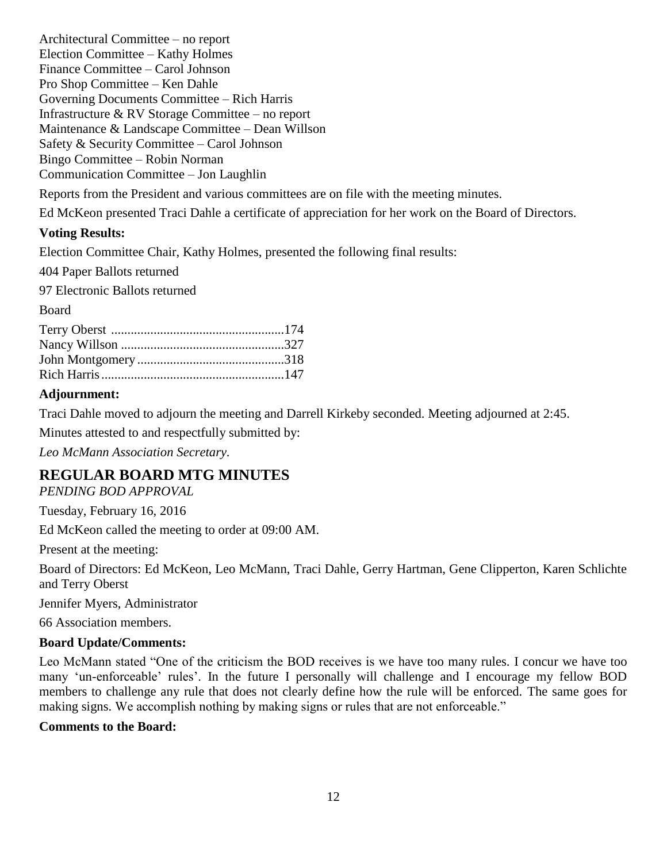Architectural Committee – no report Election Committee – Kathy Holmes Finance Committee – Carol Johnson Pro Shop Committee – Ken Dahle Governing Documents Committee – Rich Harris Infrastructure & RV Storage Committee – no report Maintenance & Landscape Committee – Dean Willson Safety & Security Committee – Carol Johnson Bingo Committee – Robin Norman Communication Committee – Jon Laughlin

Reports from the President and various committees are on file with the meeting minutes.

Ed McKeon presented Traci Dahle a certificate of appreciation for her work on the Board of Directors.

#### **Voting Results:**

Election Committee Chair, Kathy Holmes, presented the following final results:

404 Paper Ballots returned

97 Electronic Ballots returned

#### Board

#### **Adjournment:**

Traci Dahle moved to adjourn the meeting and Darrell Kirkeby seconded. Meeting adjourned at 2:45.

Minutes attested to and respectfully submitted by:

*Leo McMann Association Secretary.*

# **REGULAR BOARD MTG MINUTES**

*PENDING BOD APPROVAL*

Tuesday, February 16, 2016

Ed McKeon called the meeting to order at 09:00 AM.

Present at the meeting:

Board of Directors: Ed McKeon, Leo McMann, Traci Dahle, Gerry Hartman, Gene Clipperton, Karen Schlichte and Terry Oberst

Jennifer Myers, Administrator

66 Association members.

#### **Board Update/Comments:**

Leo McMann stated "One of the criticism the BOD receives is we have too many rules. I concur we have too many 'un-enforceable' rules'. In the future I personally will challenge and I encourage my fellow BOD members to challenge any rule that does not clearly define how the rule will be enforced. The same goes for making signs. We accomplish nothing by making signs or rules that are not enforceable."

#### **Comments to the Board:**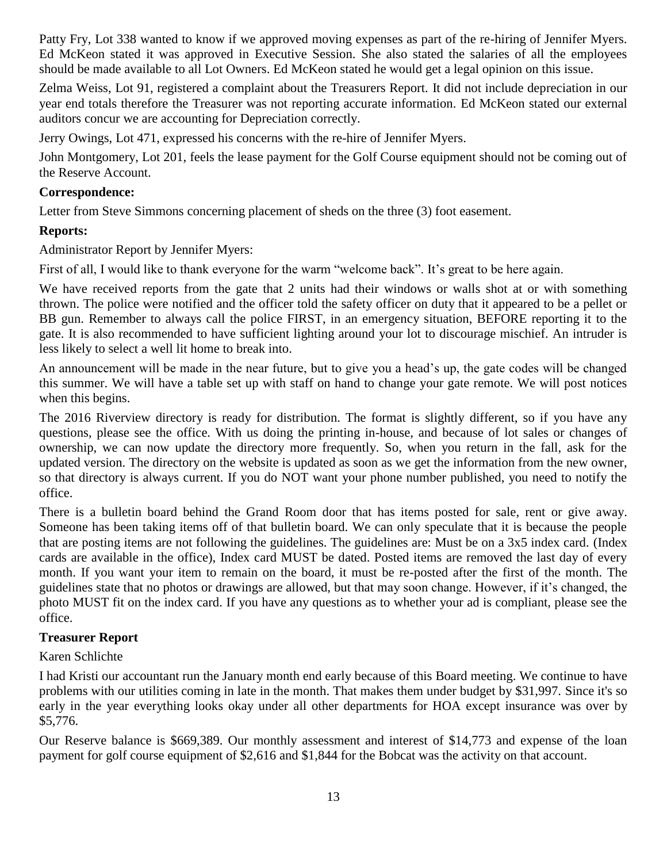Patty Fry, Lot 338 wanted to know if we approved moving expenses as part of the re-hiring of Jennifer Myers. Ed McKeon stated it was approved in Executive Session. She also stated the salaries of all the employees should be made available to all Lot Owners. Ed McKeon stated he would get a legal opinion on this issue.

Zelma Weiss, Lot 91, registered a complaint about the Treasurers Report. It did not include depreciation in our year end totals therefore the Treasurer was not reporting accurate information. Ed McKeon stated our external auditors concur we are accounting for Depreciation correctly.

Jerry Owings, Lot 471, expressed his concerns with the re-hire of Jennifer Myers.

John Montgomery, Lot 201, feels the lease payment for the Golf Course equipment should not be coming out of the Reserve Account.

# **Correspondence:**

Letter from Steve Simmons concerning placement of sheds on the three (3) foot easement.

# **Reports:**

Administrator Report by Jennifer Myers:

First of all, I would like to thank everyone for the warm "welcome back". It's great to be here again.

We have received reports from the gate that 2 units had their windows or walls shot at or with something thrown. The police were notified and the officer told the safety officer on duty that it appeared to be a pellet or BB gun. Remember to always call the police FIRST, in an emergency situation, BEFORE reporting it to the gate. It is also recommended to have sufficient lighting around your lot to discourage mischief. An intruder is less likely to select a well lit home to break into.

An announcement will be made in the near future, but to give you a head's up, the gate codes will be changed this summer. We will have a table set up with staff on hand to change your gate remote. We will post notices when this begins.

The 2016 Riverview directory is ready for distribution. The format is slightly different, so if you have any questions, please see the office. With us doing the printing in-house, and because of lot sales or changes of ownership, we can now update the directory more frequently. So, when you return in the fall, ask for the updated version. The directory on the website is updated as soon as we get the information from the new owner, so that directory is always current. If you do NOT want your phone number published, you need to notify the office.

There is a bulletin board behind the Grand Room door that has items posted for sale, rent or give away. Someone has been taking items off of that bulletin board. We can only speculate that it is because the people that are posting items are not following the guidelines. The guidelines are: Must be on a 3x5 index card. (Index cards are available in the office), Index card MUST be dated. Posted items are removed the last day of every month. If you want your item to remain on the board, it must be re-posted after the first of the month. The guidelines state that no photos or drawings are allowed, but that may soon change. However, if it's changed, the photo MUST fit on the index card. If you have any questions as to whether your ad is compliant, please see the office.

# **Treasurer Report**

# Karen Schlichte

I had Kristi our accountant run the January month end early because of this Board meeting. We continue to have problems with our utilities coming in late in the month. That makes them under budget by \$31,997. Since it's so early in the year everything looks okay under all other departments for HOA except insurance was over by \$5,776.

Our Reserve balance is \$669,389. Our monthly assessment and interest of \$14,773 and expense of the loan payment for golf course equipment of \$2,616 and \$1,844 for the Bobcat was the activity on that account.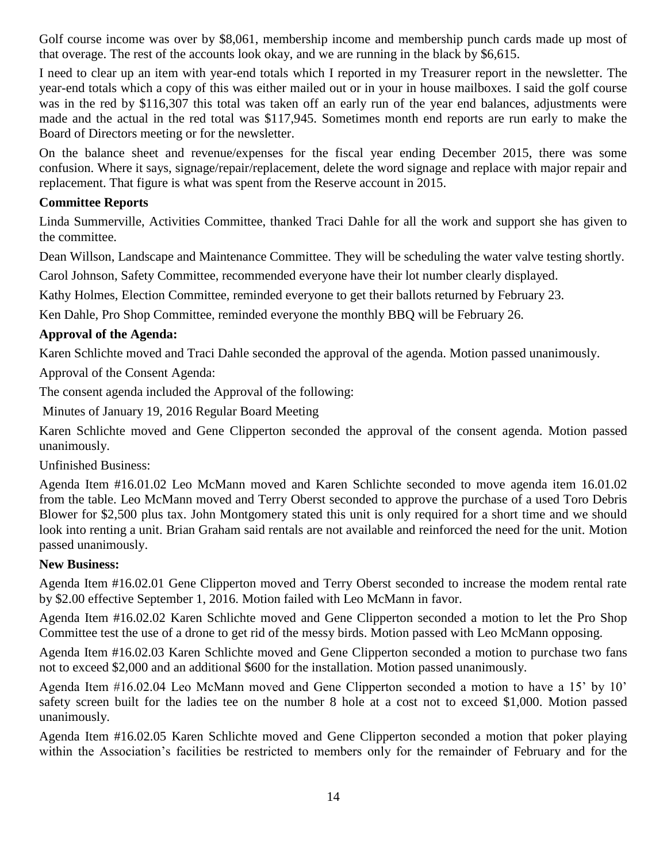Golf course income was over by \$8,061, membership income and membership punch cards made up most of that overage. The rest of the accounts look okay, and we are running in the black by \$6,615.

I need to clear up an item with year-end totals which I reported in my Treasurer report in the newsletter. The year-end totals which a copy of this was either mailed out or in your in house mailboxes. I said the golf course was in the red by \$116,307 this total was taken off an early run of the year end balances, adjustments were made and the actual in the red total was \$117,945. Sometimes month end reports are run early to make the Board of Directors meeting or for the newsletter.

On the balance sheet and revenue/expenses for the fiscal year ending December 2015, there was some confusion. Where it says, signage/repair/replacement, delete the word signage and replace with major repair and replacement. That figure is what was spent from the Reserve account in 2015.

#### **Committee Reports**

Linda Summerville, Activities Committee, thanked Traci Dahle for all the work and support she has given to the committee.

Dean Willson, Landscape and Maintenance Committee. They will be scheduling the water valve testing shortly.

Carol Johnson, Safety Committee, recommended everyone have their lot number clearly displayed.

Kathy Holmes, Election Committee, reminded everyone to get their ballots returned by February 23.

Ken Dahle, Pro Shop Committee, reminded everyone the monthly BBQ will be February 26.

## **Approval of the Agenda:**

Karen Schlichte moved and Traci Dahle seconded the approval of the agenda. Motion passed unanimously.

Approval of the Consent Agenda:

The consent agenda included the Approval of the following:

Minutes of January 19, 2016 Regular Board Meeting

Karen Schlichte moved and Gene Clipperton seconded the approval of the consent agenda. Motion passed unanimously.

Unfinished Business:

Agenda Item #16.01.02 Leo McMann moved and Karen Schlichte seconded to move agenda item 16.01.02 from the table. Leo McMann moved and Terry Oberst seconded to approve the purchase of a used Toro Debris Blower for \$2,500 plus tax. John Montgomery stated this unit is only required for a short time and we should look into renting a unit. Brian Graham said rentals are not available and reinforced the need for the unit. Motion passed unanimously.

## **New Business:**

Agenda Item #16.02.01 Gene Clipperton moved and Terry Oberst seconded to increase the modem rental rate by \$2.00 effective September 1, 2016. Motion failed with Leo McMann in favor.

Agenda Item #16.02.02 Karen Schlichte moved and Gene Clipperton seconded a motion to let the Pro Shop Committee test the use of a drone to get rid of the messy birds. Motion passed with Leo McMann opposing.

Agenda Item #16.02.03 Karen Schlichte moved and Gene Clipperton seconded a motion to purchase two fans not to exceed \$2,000 and an additional \$600 for the installation. Motion passed unanimously.

Agenda Item #16.02.04 Leo McMann moved and Gene Clipperton seconded a motion to have a 15' by 10' safety screen built for the ladies tee on the number 8 hole at a cost not to exceed \$1,000. Motion passed unanimously.

Agenda Item #16.02.05 Karen Schlichte moved and Gene Clipperton seconded a motion that poker playing within the Association's facilities be restricted to members only for the remainder of February and for the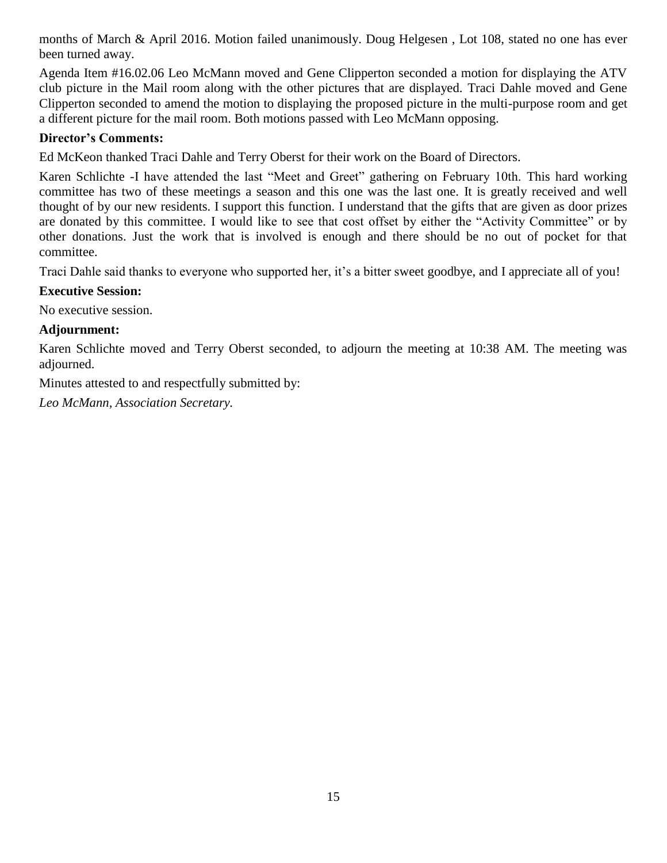months of March & April 2016. Motion failed unanimously. Doug Helgesen , Lot 108, stated no one has ever been turned away.

Agenda Item #16.02.06 Leo McMann moved and Gene Clipperton seconded a motion for displaying the ATV club picture in the Mail room along with the other pictures that are displayed. Traci Dahle moved and Gene Clipperton seconded to amend the motion to displaying the proposed picture in the multi-purpose room and get a different picture for the mail room. Both motions passed with Leo McMann opposing.

#### **Director's Comments:**

Ed McKeon thanked Traci Dahle and Terry Oberst for their work on the Board of Directors.

Karen Schlichte -I have attended the last "Meet and Greet" gathering on February 10th. This hard working committee has two of these meetings a season and this one was the last one. It is greatly received and well thought of by our new residents. I support this function. I understand that the gifts that are given as door prizes are donated by this committee. I would like to see that cost offset by either the "Activity Committee" or by other donations. Just the work that is involved is enough and there should be no out of pocket for that committee.

Traci Dahle said thanks to everyone who supported her, it's a bitter sweet goodbye, and I appreciate all of you!

#### **Executive Session:**

No executive session.

#### **Adjournment:**

Karen Schlichte moved and Terry Oberst seconded, to adjourn the meeting at 10:38 AM. The meeting was adjourned.

Minutes attested to and respectfully submitted by:

*Leo McMann, Association Secretary.*